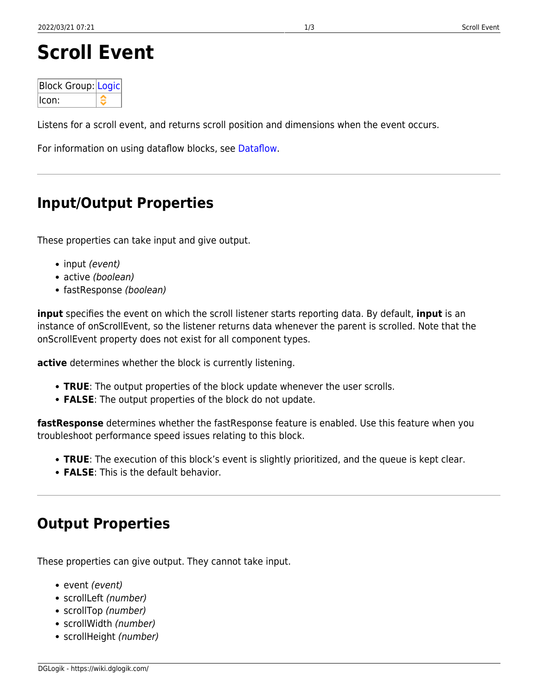# **Scroll Event**

| Block Group: Logic |  |
|--------------------|--|
| llcon:             |  |

Listens for a scroll event, and returns scroll position and dimensions when the event occurs.

For information on using dataflow blocks, see [Dataflow](https://wiki.dglogik.com/dglux5_wiki:dataflow:home).

## **Input/Output Properties**

These properties can take input and give output.

- input (event)
- active (boolean)
- fastResponse (boolean)

**input** specifies the event on which the scroll listener starts reporting data. By default, **input** is an instance of onScrollEvent, so the listener returns data whenever the parent is scrolled. Note that the onScrollEvent property does not exist for all component types.

**active** determines whether the block is currently listening.

- **TRUE**: The output properties of the block update whenever the user scrolls.
- **FALSE**: The output properties of the block do not update.

**fastResponse** determines whether the fastResponse feature is enabled. Use this feature when you troubleshoot performance speed issues relating to this block.

- **TRUE**: The execution of this block's event is slightly prioritized, and the queue is kept clear.
- **FALSE**: This is the default behavior.

### **Output Properties**

These properties can give output. They cannot take input.

- event (event)
- scrollLeft (number)
- scrollTop (number)
- scrollWidth (number)
- scrollHeight (number)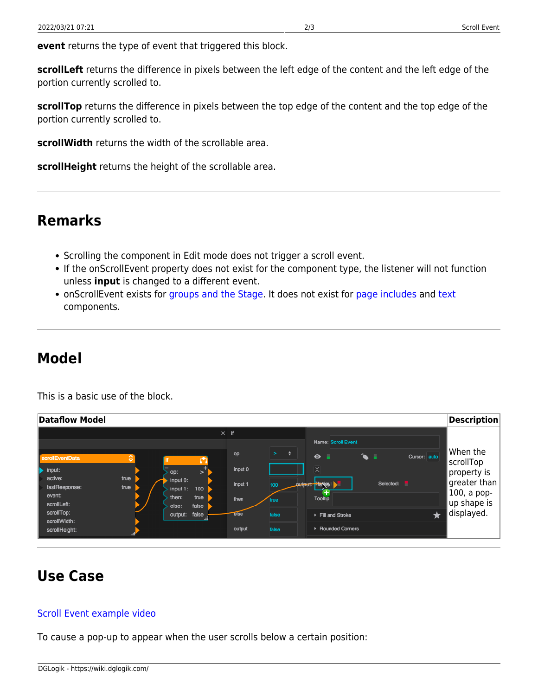**event** returns the type of event that triggered this block.

**scrollLeft** returns the difference in pixels between the left edge of the content and the left edge of the portion currently scrolled to.

**scrollTop** returns the difference in pixels between the top edge of the content and the top edge of the portion currently scrolled to.

**scrollWidth** returns the width of the scrollable area.

**scrollHeight** returns the height of the scrollable area.

### **Remarks**

- Scrolling the component in Edit mode does not trigger a scroll event.
- If the onScrollEvent property does not exist for the component type, the listener will not function unless **input** is changed to a different event.
- onScrollEvent exists for [groups and the Stage](https://wiki.dglogik.com/dglux5_wiki:widgets_and_property_inspector:components:group:home). It does not exist for [page includes](https://wiki.dglogik.com/dglux5_wiki:widgets_and_property_inspector:components:page_include:home) and [text](https://wiki.dglogik.com/dglux5_wiki:widgets_and_property_inspector:components:text:home) components.

### **Model**

This is a basic use of the block.

| Dataflow Model                                                                                                                                                                                                                                                                              |                                                                                                              |                                                                                                                                                                                                        | <b>Description</b>                                                                                |
|---------------------------------------------------------------------------------------------------------------------------------------------------------------------------------------------------------------------------------------------------------------------------------------------|--------------------------------------------------------------------------------------------------------------|--------------------------------------------------------------------------------------------------------------------------------------------------------------------------------------------------------|---------------------------------------------------------------------------------------------------|
| €<br>scrollEventData<br>$\blacktriangleright$<br>$\blacktriangleright$ input:<br>op:<br>active:<br>true<br>input 0:<br>fastResponse:<br>true<br>100<br>input 1:<br>event:<br>true<br>then:<br>scrollLeft:<br>false<br>else:<br>scrollTop:<br>output: false<br>scrollWidth:<br>scrollHeight: | $\times$ if<br>$\geq$<br>op<br>input 0<br>input 1<br>100<br>then<br>true<br>else<br>false<br>output<br>false | Name: Scroll Event<br>$\ddot{ }$<br>Cursor auto<br>$\bullet$ .<br>- 11<br>`<br>$\times$<br>Selected:<br>a se<br>output: Planey:<br>+<br>Tooltip:<br>$\bigstar$<br>Fill and Stroke<br>▶ Rounded Corners | When the<br>scrollTop<br>property is!<br>greater than<br>100, a pop-<br>up shape is<br>displayed. |

# **Use Case**

#### [Scroll Event example video](https://wiki.dglogik.com/_media/dglux5_wiki:dataflow:dataflow_blocks_reference:scroll_event.mp4?cache=)

To cause a pop-up to appear when the user scrolls below a certain position: